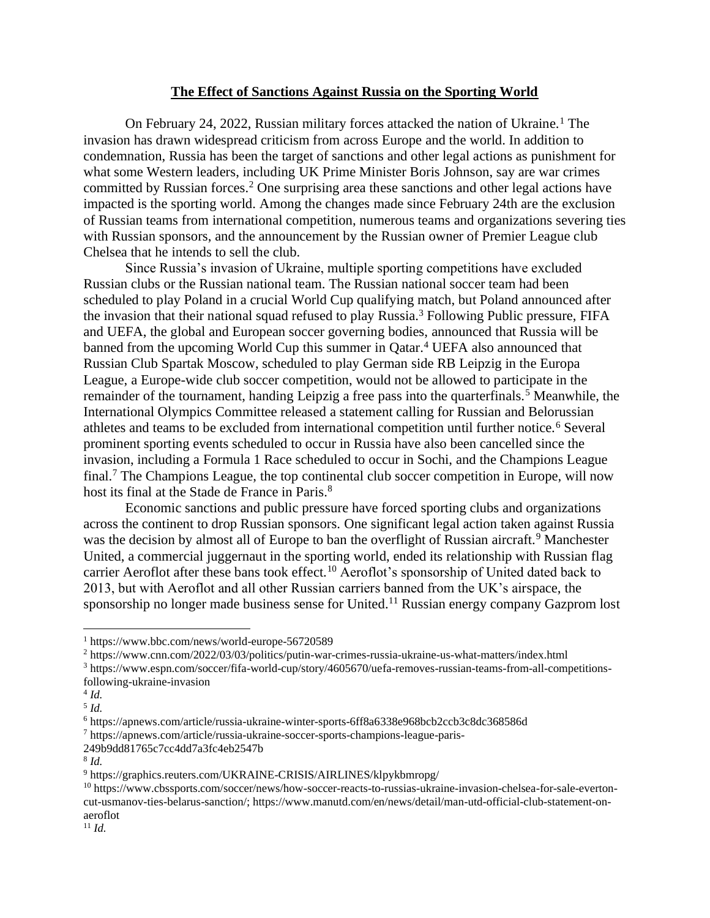## **The Effect of Sanctions Against Russia on the Sporting World**

On February 24, 2022, Russian military forces attacked the nation of Ukraine.<sup>1</sup> The invasion has drawn widespread criticism from across Europe and the world. In addition to condemnation, Russia has been the target of sanctions and other legal actions as punishment for what some Western leaders, including UK Prime Minister Boris Johnson, say are war crimes committed by Russian forces.<sup>2</sup> One surprising area these sanctions and other legal actions have impacted is the sporting world. Among the changes made since February 24th are the exclusion of Russian teams from international competition, numerous teams and organizations severing ties with Russian sponsors, and the announcement by the Russian owner of Premier League club Chelsea that he intends to sell the club.

Since Russia's invasion of Ukraine, multiple sporting competitions have excluded Russian clubs or the Russian national team. The Russian national soccer team had been scheduled to play Poland in a crucial World Cup qualifying match, but Poland announced after the invasion that their national squad refused to play Russia.<sup>3</sup> Following Public pressure, FIFA and UEFA, the global and European soccer governing bodies, announced that Russia will be banned from the upcoming World Cup this summer in Qatar. <sup>4</sup> UEFA also announced that Russian Club Spartak Moscow, scheduled to play German side RB Leipzig in the Europa League, a Europe-wide club soccer competition, would not be allowed to participate in the remainder of the tournament, handing Leipzig a free pass into the quarterfinals.<sup>5</sup> Meanwhile, the International Olympics Committee released a statement calling for Russian and Belorussian athletes and teams to be excluded from international competition until further notice.<sup>6</sup> Several prominent sporting events scheduled to occur in Russia have also been cancelled since the invasion, including a Formula 1 Race scheduled to occur in Sochi, and the Champions League final.<sup>7</sup> The Champions League, the top continental club soccer competition in Europe, will now host its final at the Stade de France in Paris.<sup>8</sup>

Economic sanctions and public pressure have forced sporting clubs and organizations across the continent to drop Russian sponsors. One significant legal action taken against Russia was the decision by almost all of Europe to ban the overflight of Russian aircraft.<sup>9</sup> Manchester United, a commercial juggernaut in the sporting world, ended its relationship with Russian flag carrier Aeroflot after these bans took effect.<sup>10</sup> Aeroflot's sponsorship of United dated back to 2013, but with Aeroflot and all other Russian carriers banned from the UK's airspace, the sponsorship no longer made business sense for United.<sup>11</sup> Russian energy company Gazprom lost

<sup>1</sup> https://www.bbc.com/news/world-europe-56720589

<sup>2</sup> https://www.cnn.com/2022/03/03/politics/putin-war-crimes-russia-ukraine-us-what-matters/index.html

<sup>3</sup> https://www.espn.com/soccer/fifa-world-cup/story/4605670/uefa-removes-russian-teams-from-all-competitionsfollowing-ukraine-invasion

<sup>4</sup> *Id.*

<sup>5</sup> *Id.*

<sup>6</sup> https://apnews.com/article/russia-ukraine-winter-sports-6ff8a6338e968bcb2ccb3c8dc368586d

<sup>7</sup> https://apnews.com/article/russia-ukraine-soccer-sports-champions-league-paris-

<sup>249</sup>b9dd81765c7cc4dd7a3fc4eb2547b

<sup>8</sup> *Id.*

<sup>9</sup> https://graphics.reuters.com/UKRAINE-CRISIS/AIRLINES/klpykbmropg/

<sup>10</sup> https://www.cbssports.com/soccer/news/how-soccer-reacts-to-russias-ukraine-invasion-chelsea-for-sale-evertoncut-usmanov-ties-belarus-sanction/; https://www.manutd.com/en/news/detail/man-utd-official-club-statement-onaeroflot

 $11$  *Id.*